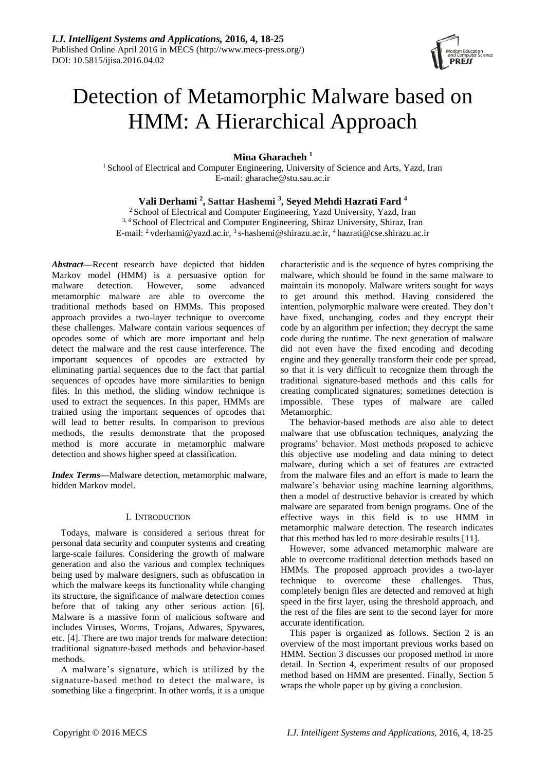

# Detection of Metamorphic Malware based on HMM: A Hierarchical Approach

**Mina Gharacheh <sup>1</sup>**

<sup>1</sup> School of Electrical and Computer Engineering, University of Science and Arts, Yazd, Iran E-mail: [gharache@stu.sau.ac.ir](mailto:gharache@stu.sau.ac.ir)

## **Vali Derhami <sup>2</sup> , Sattar Hashemi <sup>3</sup> , Seyed Mehdi Hazrati Fard <sup>4</sup>**

<sup>2</sup> School of Electrical and Computer Engineering, Yazd University, Yazd, Iran <sup>3, 4</sup> School of Electrical and Computer Engineering, Shiraz University, Shiraz, Iran E-mail: <sup>2</sup> [vderhami@yazd.ac.ir,](mailto:vderhami@yazd.ac.ir) <sup>3</sup> [s-hashemi@shirazu.ac.ir,](mailto:s-hashemi@shirazu.ac.ir) <sup>4</sup> [hazrati@cse.shirazu.ac.ir](mailto:hazrati@cse.shirazu.ac.ir)

*Abstract***—**Recent research have depicted that hidden Markov model (HMM) is a persuasive option for malware detection. However, some advanced metamorphic malware are able to overcome the traditional methods based on HMMs. This proposed approach provides a two-layer technique to overcome these challenges. Malware contain various sequences of opcodes some of which are more important and help detect the malware and the rest cause interference. The important sequences of opcodes are extracted by eliminating partial sequences due to the fact that partial sequences of opcodes have more similarities to benign files. In this method, the sliding window technique is used to extract the sequences. In this paper, HMMs are trained using the important sequences of opcodes that will lead to better results. In comparison to previous methods, the results demonstrate that the proposed method is more accurate in metamorphic malware detection and shows higher speed at classification.

*Index Terms***—**Malware detection, metamorphic malware, hidden Markov model.

## I. INTRODUCTION

Todays, malware is considered a serious threat for personal data security and computer systems and creating large-scale failures. Considering the growth of malware generation and also the various and complex techniques being used by malware designers, such as obfuscation in which the malware keeps its functionality while changing its structure, the significance of malware detection comes before that of taking any other serious action [6]. Malware is a massive form of malicious software and includes Viruses, Worms, Trojans, Adwares, Spywares, etc. [4]. There are two major trends for malware detection: traditional signature-based methods and behavior-based methods.

A malware's signature, which is utilized by the signature-based method to detect the malware, is something like a fingerprint. In other words, it is a unique

characteristic and is the sequence of bytes comprising the malware, which should be found in the same malware to maintain its monopoly. Malware writers sought for ways to get around this method. Having considered the intention, polymorphic malware were created. They don't have fixed, unchanging, codes and they encrypt their code by an algorithm per infection; they decrypt the same code during the runtime. The next generation of malware did not even have the fixed encoding and decoding engine and they generally transform their code per spread, so that it is very difficult to recognize them through the traditional signature-based methods and this calls for creating complicated signatures; sometimes detection is impossible. These types of malware are called Metamorphic.

The behavior-based methods are also able to detect malware that use obfuscation techniques, analyzing the programs' behavior. Most methods proposed to achieve this objective use modeling and data mining to detect malware, during which a set of features are extracted from the malware files and an effort is made to learn the malware's behavior using machine learning algorithms, then a model of destructive behavior is created by which malware are separated from benign programs. One of the effective ways in this field is to use HMM in metamorphic malware detection. The research indicates that this method has led to more desirable results [11].

However, some advanced metamorphic malware are able to overcome traditional detection methods based on HMMs. The proposed approach provides a two-layer technique to overcome these challenges. Thus, completely benign files are detected and removed at high speed in the first layer, using the threshold approach, and the rest of the files are sent to the second layer for more accurate identification.

This paper is organized as follows. Section 2 is an overview of the most important previous works based on HMM. Section 3 discusses our proposed method in more detail. In Section 4, experiment results of our proposed method based on HMM are presented. Finally, Section 5 wraps the whole paper up by giving a conclusion.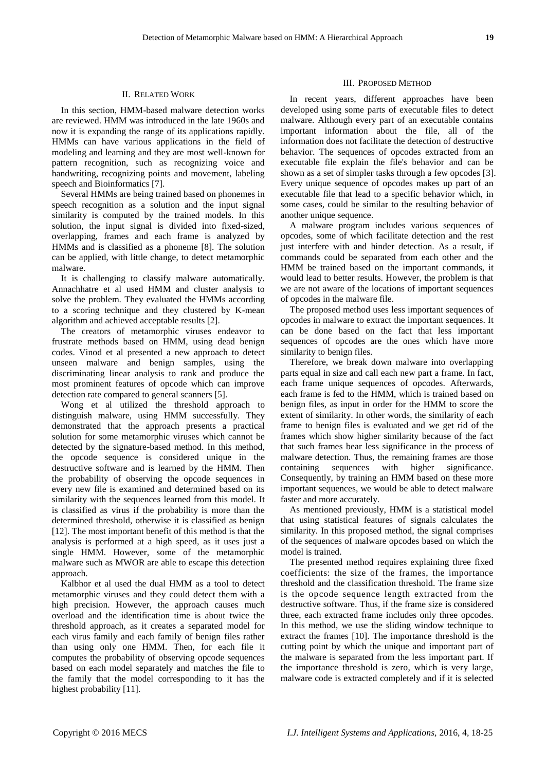#### II. RELATED WORK

In this section, HMM-based malware detection works are reviewed. HMM was introduced in the late 1960s and now it is expanding the range of its applications rapidly. HMMs can have various applications in the field of modeling and learning and they are most well-known for pattern recognition, such as recognizing voice and handwriting, recognizing points and movement, labeling speech and Bioinformatics [7].

Several HMMs are being trained based on phonemes in speech recognition as a solution and the input signal similarity is computed by the trained models. In this solution, the input signal is divided into fixed-sized, overlapping, frames and each frame is analyzed by HMMs and is classified as a phoneme [8]. The solution can be applied, with little change, to detect metamorphic malware.

It is challenging to classify malware automatically. Annachhatre et al used HMM and cluster analysis to solve the problem. They evaluated the HMMs according to a scoring technique and they clustered by K-mean algorithm and achieved acceptable results [2].

The creators of metamorphic viruses endeavor to frustrate methods based on HMM, using dead benign codes. Vinod et al presented a new approach to detect unseen malware and benign samples, using the discriminating linear analysis to rank and produce the most prominent features of opcode which can improve detection rate compared to general scanners [5].

Wong et al utilized the threshold approach to distinguish malware, using HMM successfully. They demonstrated that the approach presents a practical solution for some metamorphic viruses which cannot be detected by the signature-based method. In this method, the opcode sequence is considered unique in the destructive software and is learned by the HMM. Then the probability of observing the opcode sequences in every new file is examined and determined based on its similarity with the sequences learned from this model. It is classified as virus if the probability is more than the determined threshold, otherwise it is classified as benign [12]. The most important benefit of this method is that the analysis is performed at a high speed, as it uses just a single HMM. However, some of the metamorphic malware such as MWOR are able to escape this detection approach.

Kalbhor et al used the dual HMM as a tool to detect metamorphic viruses and they could detect them with a high precision. However, the approach causes much overload and the identification time is about twice the threshold approach, as it creates a separated model for each virus family and each family of benign files rather than using only one HMM. Then, for each file it computes the probability of observing opcode sequences based on each model separately and matches the file to the family that the model corresponding to it has the highest probability [11].

#### III. PROPOSED METHOD

In recent years, different approaches have been developed using some parts of executable files to detect malware. Although every part of an executable contains important information about the file, all of the information does not facilitate the detection of destructive behavior. The sequences of opcodes extracted from an executable file explain the file's behavior and can be shown as a set of simpler tasks through a few opcodes [3]. Every unique sequence of opcodes makes up part of an executable file that lead to a specific behavior which, in some cases, could be similar to the resulting behavior of another unique sequence.

A malware program includes various sequences of opcodes, some of which facilitate detection and the rest just interfere with and hinder detection. As a result, if commands could be separated from each other and the HMM be trained based on the important commands, it would lead to better results. However, the problem is that we are not aware of the locations of important sequences of opcodes in the malware file.

The proposed method uses less important sequences of opcodes in malware to extract the important sequences. It can be done based on the fact that less important sequences of opcodes are the ones which have more similarity to benign files.

Therefore, we break down malware into overlapping parts equal in size and call each new part a frame. In fact, each frame unique sequences of opcodes. Afterwards, each frame is fed to the HMM, which is trained based on benign files, as input in order for the HMM to score the extent of similarity. In other words, the similarity of each frame to benign files is evaluated and we get rid of the frames which show higher similarity because of the fact that such frames bear less significance in the process of malware detection. Thus, the remaining frames are those containing sequences with higher significance. Consequently, by training an HMM based on these more important sequences, we would be able to detect malware faster and more accurately.

As mentioned previously, HMM is a statistical model that using statistical features of signals calculates the similarity. In this proposed method, the signal comprises of the sequences of malware opcodes based on which the model is trained.

The presented method requires explaining three fixed coefficients: the size of the frames, the importance threshold and the classification threshold. The frame size is the opcode sequence length extracted from the destructive software. Thus, if the frame size is considered three, each extracted frame includes only three opcodes. In this method, we use the sliding window technique to extract the frames [10]. The importance threshold is the cutting point by which the unique and important part of the malware is separated from the less important part. If the importance threshold is zero, which is very large, malware code is extracted completely and if it is selected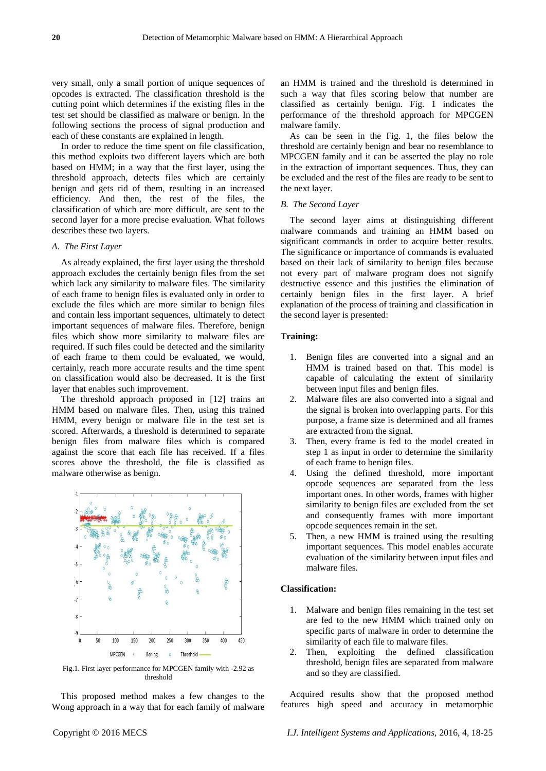very small, only a small portion of unique sequences of opcodes is extracted. The classification threshold is the cutting point which determines if the existing files in the test set should be classified as malware or benign. In the following sections the process of signal production and each of these constants are explained in length.

In order to reduce the time spent on file classification, this method exploits two different layers which are both based on HMM; in a way that the first layer, using the threshold approach, detects files which are certainly benign and gets rid of them, resulting in an increased efficiency. And then, the rest of the files, the classification of which are more difficult, are sent to the second layer for a more precise evaluation. What follows describes these two layers.

#### *A. The First Layer*

As already explained, the first layer using the threshold approach excludes the certainly benign files from the set which lack any similarity to malware files. The similarity of each frame to benign files is evaluated only in order to exclude the files which are more similar to benign files and contain less important sequences, ultimately to detect important sequences of malware files. Therefore, benign files which show more similarity to malware files are required. If such files could be detected and the similarity of each frame to them could be evaluated, we would, certainly, reach more accurate results and the time spent on classification would also be decreased. It is the first layer that enables such improvement.

The threshold approach proposed in [12] trains an HMM based on malware files. Then, using this trained HMM, every benign or malware file in the test set is scored. Afterwards, a threshold is determined to separate benign files from malware files which is compared against the score that each file has received. If a files scores above the threshold, the file is classified as malware otherwise as benign.



Fig.1. First layer performance for MPCGEN family with -2.92 as threshold

This proposed method makes a few changes to the Wong approach in a way that for each family of malware an HMM is trained and the threshold is determined in such a way that files scoring below that number are classified as certainly benign. Fig. 1 indicates the performance of the threshold approach for MPCGEN malware family.

As can be seen in the Fig. 1, the files below the threshold are certainly benign and bear no resemblance to MPCGEN family and it can be asserted the play no role in the extraction of important sequences. Thus, they can be excluded and the rest of the files are ready to be sent to the next layer.

#### *B. The Second Layer*

The second layer aims at distinguishing different malware commands and training an HMM based on significant commands in order to acquire better results. The significance or importance of commands is evaluated based on their lack of similarity to benign files because not every part of malware program does not signify destructive essence and this justifies the elimination of certainly benign files in the first layer. A brief explanation of the process of training and classification in the second layer is presented:

## **Training:**

- 1. Benign files are converted into a signal and an HMM is trained based on that. This model is capable of calculating the extent of similarity between input files and benign files.
- 2. Malware files are also converted into a signal and the signal is broken into overlapping parts. For this purpose, a frame size is determined and all frames are extracted from the signal.
- 3. Then, every frame is fed to the model created in step 1 as input in order to determine the similarity of each frame to benign files.
- 4. Using the defined threshold, more important opcode sequences are separated from the less important ones. In other words, frames with higher similarity to benign files are excluded from the set and consequently frames with more important opcode sequences remain in the set.
- 5. Then, a new HMM is trained using the resulting important sequences. This model enables accurate evaluation of the similarity between input files and malware files.

## **Classification:**

- 1. Malware and benign files remaining in the test set are fed to the new HMM which trained only on specific parts of malware in order to determine the similarity of each file to malware files.
- 2. Then, exploiting the defined classification threshold, benign files are separated from malware and so they are classified.

Acquired results show that the proposed method features high speed and accuracy in metamorphic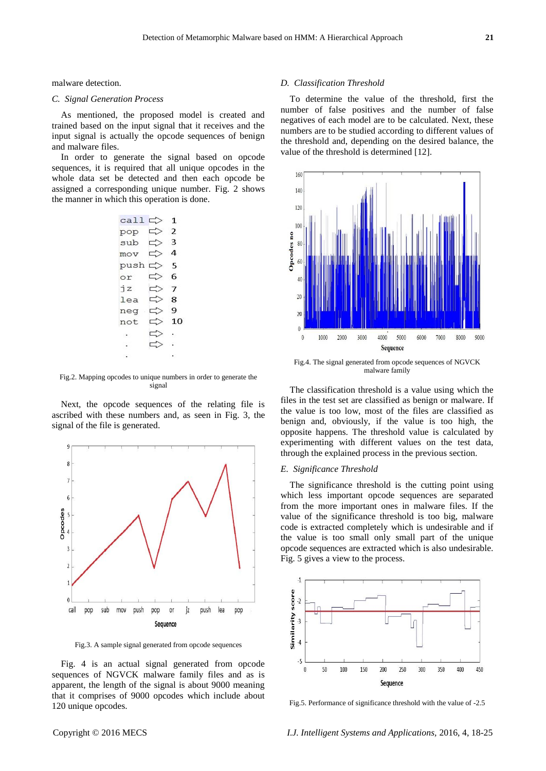malware detection.

#### *C. Signal Generation Process*

As mentioned, the proposed model is created and trained based on the input signal that it receives and the input signal is actually the opcode sequences of benign and malware files.

In order to generate the signal based on opcode sequences, it is required that all unique opcodes in the whole data set be detected and then each opcode be assigned a corresponding unique number. Fig. 2 shows the manner in which this operation is done.

| $call \Rightarrow$    |               | 1              |
|-----------------------|---------------|----------------|
| $pop \Rightarrow$     |               | $\overline{2}$ |
| sub $\Rightarrow$ 3   |               |                |
| $mov \Leftrightarrow$ |               | $\overline{a}$ |
| push $\Rightarrow$    |               | - 5            |
| or                    | $\Rightarrow$ | -6             |
| iz                    | ⇨             | $\overline{7}$ |
| lea                   | ⇨             | 8              |
| $neg \Rightarrow$     |               | 9              |
| not                   | ⇨             | 10             |
|                       | ⇨             | $\sim$ 100     |
|                       | ⇨             |                |
|                       |               |                |

Fig.2. Mapping opcodes to unique numbers in order to generate the signal

Next, the opcode sequences of the relating file is ascribed with these numbers and, as seen in Fig. 3, the signal of the file is generated.



Fig.3. A sample signal generated from opcode sequences

Fig. 4 is an actual signal generated from opcode sequences of NGVCK malware family files and as is apparent, the length of the signal is about 9000 meaning that it comprises of 9000 opcodes which include about 120 unique opcodes.

#### *D. Classification Threshold*

To determine the value of the threshold, first the number of false positives and the number of false negatives of each model are to be calculated. Next, these numbers are to be studied according to different values of the threshold and, depending on the desired balance, the value of the threshold is determined [12].



Fig.4. The signal generated from opcode sequences of NGVCK malware family

The classification threshold is a value using which the files in the test set are classified as benign or malware. If the value is too low, most of the files are classified as benign and, obviously, if the value is too high, the opposite happens. The threshold value is calculated by experimenting with different values on the test data, through the explained process in the previous section.

#### *E. Significance Threshold*

The significance threshold is the cutting point using which less important opcode sequences are separated from the more important ones in malware files. If the value of the significance threshold is too big, malware code is extracted completely which is undesirable and if the value is too small only small part of the unique opcode sequences are extracted which is also undesirable. Fig. 5 gives a view to the process.



Fig.5. Performance of significance threshold with the value of -2.5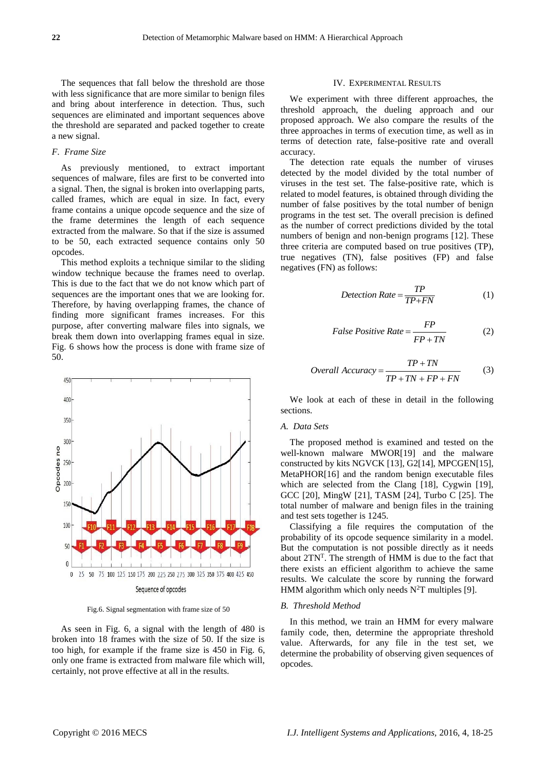The sequences that fall below the threshold are those with less significance that are more similar to benign files and bring about interference in detection. Thus, such sequences are eliminated and important sequences above the threshold are separated and packed together to create a new signal.

#### *F. Frame Size*

As previously mentioned, to extract important sequences of malware, files are first to be converted into a signal. Then, the signal is broken into overlapping parts, called frames, which are equal in size. In fact, every frame contains a unique opcode sequence and the size of the frame determines the length of each sequence extracted from the malware. So that if the size is assumed to be 50, each extracted sequence contains only 50 opcodes.

This method exploits a technique similar to the sliding window technique because the frames need to overlap. This is due to the fact that we do not know which part of sequences are the important ones that we are looking for. Therefore, by having overlapping frames, the chance of finding more significant frames increases. For this purpose, after converting malware files into signals, we break them down into overlapping frames equal in size. Fig. 6 shows how the process is done with frame size of 50.



Fig.6. Signal segmentation with frame size of 50

As seen in Fig. 6, a signal with the length of 480 is broken into 18 frames with the size of 50. If the size is too high, for example if the frame size is 450 in Fig. 6, only one frame is extracted from malware file which will, certainly, not prove effective at all in the results.

#### IV. EXPERIMENTAL RESULTS

We experiment with three different approaches, the threshold approach, the dueling approach and our proposed approach. We also compare the results of the three approaches in terms of execution time, as well as in terms of detection rate, false-positive rate and overall accuracy.

The detection rate equals the number of viruses detected by the model divided by the total number of viruses in the test set. The false-positive rate, which is related to model features, is obtained through dividing the number of false positives by the total number of benign programs in the test set. The overall precision is defined as the number of correct predictions divided by the total numbers of benign and non-benign programs [12]. These three criteria are computed based on true positives (TP), true negatives (TN), false positives (FP) and false negatives (FN) as follows:

$$
Delection Rate = \frac{TP}{TP + FN}
$$
 (1)

$$
False Positive Rate = \frac{FP}{FP + TN}
$$
 (2)

*Overall Accuracy* = 
$$
\frac{TP + TN}{TP + TN + FP + FN}
$$
 (3)

We look at each of these in detail in the following sections.

#### *A. Data Sets*

The proposed method is examined and tested on the well-known malware MWOR[19] and the malware constructed by kits NGVCK [13], G2[14], MPCGEN[15], MetaPHOR[16] and the random benign executable files which are selected from the Clang [18], Cygwin [19], GCC [20], MingW [21], TASM [24], Turbo C [25]. The total number of malware and benign files in the training and test sets together is 1245.

Classifying a file requires the computation of the probability of its opcode sequence similarity in a model. But the computation is not possible directly as it needs about 2TN<sup>T</sup> . The strength of HMM is due to the fact that there exists an efficient algorithm to achieve the same results. We calculate the score by running the forward HMM algorithm which only needs  $N^2T$  multiples [9].

#### *B. Threshold Method*

In this method, we train an HMM for every malware family code, then, determine the appropriate threshold value. Afterwards, for any file in the test set, we determine the probability of observing given sequences of opcodes.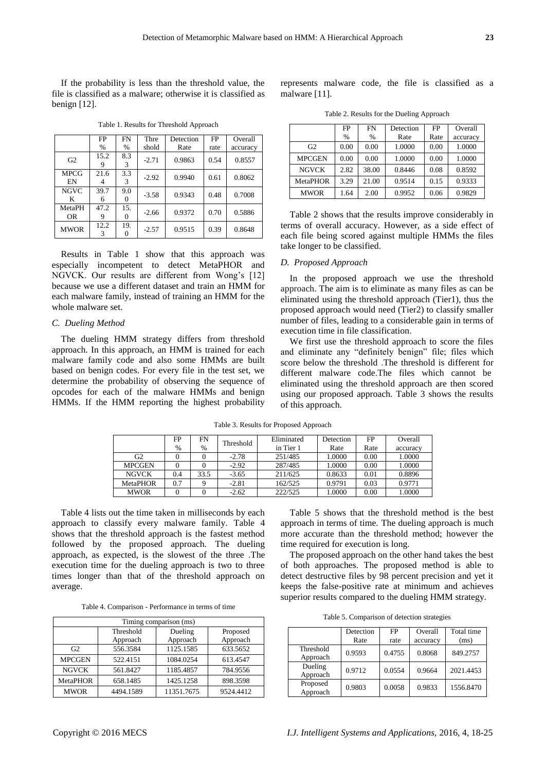If the probability is less than the threshold value, the file is classified as a malware; otherwise it is classified as benign [12].

|                   | FP        | <b>FN</b>       | Thre    | Detection | FP   | Overall  |
|-------------------|-----------|-----------------|---------|-----------|------|----------|
|                   | $\%$      | %               | shold   | Rate      | rate | accuracy |
| G2                | 15.2<br>9 | 8.3<br>3        | $-2.71$ | 0.9863    | 0.54 | 0.8557   |
| <b>MPCG</b><br>EN | 21.6<br>4 | 3.3<br>3        | $-2.92$ | 0.9940    | 0.61 | 0.8062   |
| <b>NGVC</b><br>K  | 39.7<br>6 | 9.0<br>$\theta$ | $-3.58$ | 0.9343    | 0.48 | 0.7008   |
| MetaPH<br>OR.     | 47.2<br>9 | 15.<br>$\Omega$ | $-2.66$ | 0.9372    | 0.70 | 0.5886   |
| <b>MWOR</b>       | 12.2<br>3 | 19.             | $-2.57$ | 0.9515    | 0.39 | 0.8648   |

Table 1. Results for Threshold Approach

Results in Table 1 show that this approach was especially incompetent to detect MetaPHOR and NGVCK. Our results are different from Wong's [12] because we use a different dataset and train an HMM for each malware family, instead of training an HMM for the whole malware set.

#### *C. Dueling Method*

The dueling HMM strategy differs from threshold approach. In this approach, an HMM is trained for each malware family code and also some HMMs are built based on benign codes. For every file in the test set, we determine the probability of observing the sequence of opcodes for each of the malware HMMs and benign HMMs. If the HMM reporting the highest probability represents malware code, the file is classified as a malware [11].

| Table 2. Results for the Dueling Approach |  |  |  |
|-------------------------------------------|--|--|--|
|-------------------------------------------|--|--|--|

|                 | FP   | <b>FN</b> | Detection | FP   | Overall  |
|-----------------|------|-----------|-----------|------|----------|
|                 | $\%$ | $\%$      | Rate      | Rate | accuracy |
| G <sub>2</sub>  | 0.00 | 0.00      | 1.0000    | 0.00 | 1.0000   |
| <b>MPCGEN</b>   | 0.00 | 0.00      | 1.0000    | 0.00 | 1.0000   |
| <b>NGVCK</b>    | 2.82 | 38.00     | 0.8446    | 0.08 | 0.8592   |
| <b>MetaPHOR</b> | 3.29 | 21.00     | 0.9514    | 0.15 | 0.9333   |
| <b>MWOR</b>     | 1.64 | 2.00      | 0.9952    | 0.06 | 0.9829   |

Table 2 shows that the results improve considerably in terms of overall accuracy. However, as a side effect of each file being scored against multiple HMMs the files take longer to be classified.

## *D. Proposed Approach*

In the proposed approach we use the threshold approach. The aim is to eliminate as many files as can be eliminated using the threshold approach (Tier1), thus the proposed approach would need (Tier2) to classify smaller number of files, leading to a considerable gain in terms of execution time in file classification.

We first use the threshold approach to score the files and eliminate any "definitely benign" file; files which score below the threshold .The threshold is different for different malware code.The files which cannot be eliminated using the threshold approach are then scored using our proposed approach. Table 3 shows the results of this approach.

Table 3. Results for Proposed Approach

|                 | FP   | FN            | Threshold | Eliminated | Detection | FP   | Overall  |
|-----------------|------|---------------|-----------|------------|-----------|------|----------|
|                 | $\%$ | $\frac{0}{0}$ |           | in Tier 1  | Rate      | Rate | accuracy |
| G2              |      |               | $-2.78$   | 251/485    | .0000     | 0.00 | 1.0000   |
| <b>MPCGEN</b>   |      |               | $-2.92$   | 287/485    | 0000.     | 0.00 | 1.0000   |
| <b>NGVCK</b>    | 0.4  | 33.5          | $-3.65$   | 211/625    | 0.8633    | 0.01 | 0.8896   |
| <b>MetaPHOR</b> | 0.7  |               | $-2.81$   | 162/525    | 0.9791    | 0.03 | 0.9771   |
| <b>MWOR</b>     |      |               | $-2.62$   | 222/525    | .0000     | 0.00 | 1.0000   |

Table 4 lists out the time taken in milliseconds by each approach to classify every malware family. Table 4 shows that the threshold approach is the fastest method followed by the proposed approach. The dueling approach, as expected, is the slowest of the three .The execution time for the dueling approach is two to three times longer than that of the threshold approach on average.

| Timing comparison (ms) |                                              |            |                      |  |  |  |
|------------------------|----------------------------------------------|------------|----------------------|--|--|--|
|                        | Threshold<br>Dueling<br>Approach<br>Approach |            | Proposed<br>Approach |  |  |  |
| G <sub>2</sub>         | 556.3584                                     | 1125.1585  | 633.5652             |  |  |  |
| <b>MPCGEN</b>          | 522.4151                                     | 1084.0254  | 613.4547             |  |  |  |
| <b>NGVCK</b>           | 561.8427                                     | 1185.4857  | 784.9556             |  |  |  |
| <b>MetaPHOR</b>        | 658.1485                                     | 1425.1258  | 898.3598             |  |  |  |
| <b>MWOR</b>            | 4494.1589                                    | 11351.7675 | 9524.4412            |  |  |  |

Table 5 shows that the threshold method is the best approach in terms of time. The dueling approach is much more accurate than the threshold method; however the time required for execution is long.

The proposed approach on the other hand takes the best of both approaches. The proposed method is able to detect destructive files by 98 percent precision and yet it keeps the false-positive rate at minimum and achieves superior results compared to the dueling HMM strategy.

Table 5. Comparison of detection strategies

|                       | Detection<br>Rate | FP<br>rate | Overall<br>accuracy | Total time<br>(ms) |
|-----------------------|-------------------|------------|---------------------|--------------------|
| Threshold<br>Approach | 0.9593            | 0.4755     | 0.8068              | 849.2757           |
| Dueling<br>Approach   | 0.9712            | 0.0554     | 0.9664              | 2021.4453          |
| Proposed<br>Approach  | 0.9803            | 0.0058     | 0.9833              | 1556.8470          |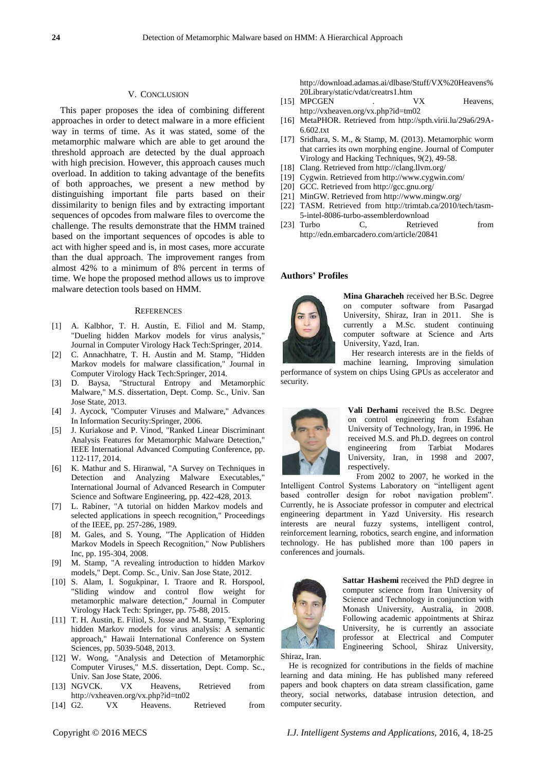#### V. CONCLUSION

This paper proposes the idea of combining different approaches in order to detect malware in a more efficient way in terms of time. As it was stated, some of the metamorphic malware which are able to get around the threshold approach are detected by the dual approach with high precision. However, this approach causes much overload. In addition to taking advantage of the benefits of both approaches, we present a new method by distinguishing important file parts based on their dissimilarity to benign files and by extracting important sequences of opcodes from malware files to overcome the challenge. The results demonstrate that the HMM trained based on the important sequences of opcodes is able to act with higher speed and is, in most cases, more accurate than the dual approach. The improvement ranges from almost 42% to a minimum of 8% percent in terms of time. We hope the proposed method allows us to improve malware detection tools based on HMM.

#### **REFERENCES**

- [1] A. Kalbhor, T. H. Austin, E. Filiol and M. Stamp, "Dueling hidden Markov models for virus analysis," Journal in Computer Virology Hack Tech:Springer, 2014.
- [2] C. Annachhatre, T. H. Austin and M. Stamp, "Hidden Markov models for malware classification," Journal in Computer Virology Hack Tech:Springer, 2014.
- [3] D. Baysa, "Structural Entropy and Metamorphic Malware," M.S. dissertation, Dept. Comp. Sc., Univ. San Jose State, 2013.
- [4] J. Aycock, "Computer Viruses and Malware," Advances In Information Security:Springer, 2006.
- [5] J. Kuriakose and P. Vinod, "Ranked Linear Discriminant Analysis Features for Metamorphic Malware Detection," IEEE International Advanced Computing Conference, pp. 112-117, 2014.
- [6] K. Mathur and S. Hiranwal, "A Survey on Techniques in Detection and Analyzing Malware Executables," International Journal of Advanced Research in Computer Science and Software Engineering, pp. 422-428, 2013.
- [7] L. Rabiner, "A tutorial on hidden Markov models and selected applications in speech recognition," Proceedings of the IEEE, pp. 257-286, 1989.
- [8] M. Gales, and S. Young, "The Application of Hidden Markov Models in Speech Recognition," Now Publishers Inc, pp. 195-304, 2008.
- [9] M. Stamp, "A revealing introduction to hidden Markov models," Dept. Comp. Sc., Univ. San Jose State, 2012.
- [10] S. Alam, I. Sogukpinar, I. Traore and R. Horspool, "Sliding window and control flow weight for metamorphic malware detection," Journal in Computer Virology Hack Tech: Springer, pp. 75-88, 2015.
- [11] T. H. Austin, E. Filiol, S. Josse and M. Stamp, "Exploring hidden Markov models for virus analysis: A semantic approach," Hawaii International Conference on System Sciences, pp. 5039-5048, 2013.
- [12] W. Wong, "Analysis and Detection of Metamorphic Computer Viruses," M.S. dissertation, Dept. Comp. Sc., Univ. San Jose State, 2006.
- [13] NGVCK. VX Heavens, Retrieved from <http://vxheaven.org/vx.php?id=tn02>
- [14] G2. VX Heavens. Retrieved from

[http://download.adamas.ai/dlbase/Stuff/VX%20Heavens%](http://download.adamas.ai/dlbase/Stuff/VX%20Heavens%20Library/static/vdat/creatrs1.htm) [20Library/static/vdat/creatrs1.htm](http://download.adamas.ai/dlbase/Stuff/VX%20Heavens%20Library/static/vdat/creatrs1.htm)

- [15] MPCGEN . VX Heavens, http://vxheaven.org/vx.php?id=tm02
- [16] MetaPHOR. Retrieved from http://spth.virii.lu/29a6/29A-6.602.txt
- [17] Sridhara, S. M., & Stamp, M. (2013). Metamorphic worm that carries its own morphing engine. Journal of Computer Virology and Hacking Techniques, 9(2), 49-58.
- [18] Clang. Retrieved from http://clang.llvm.org/ [19] Cygwin. Retrieved from http://www.cygwin.com/
- [20] GCC. Retrieved fro[m http://gcc.gnu.org/](http://gcc.gnu.org/)
- [21] MinGW. Retrieved fro[m http://www.mingw.org/](http://www.mingw.org/)
- [22] TASM. Retrieved from http://trimtab.ca/2010/tech/tasm-
- 5-intel-8086-turbo-assemblerdownload<br>Turbo C Retrieved [23] Turbo C, Retrieved from <http://edn.embarcadero.com/article/20841>

## **Authors' Profiles**



**Mina Gharacheh** received her B.Sc. Degree on computer software from Pasargad University, Shiraz, Iran in 2011. She is currently a M.Sc. student continuing computer software at Science and Arts University, Yazd, Iran.

Her research interests are in the fields of machine learning, Improving simulation

performance of system on chips Using GPUs as accelerator and security.



**Vali Derhami** received the B.Sc. Degree on control engineering from Esfahan University of Technology, Iran, in 1996. He received M.S. and Ph.D. degrees on control engineering from Tarbiat Modares University, Iran, in 1998 and 2007, respectively.

From 2002 to 2007, he worked in the Intelligent Control Systems Laboratory on "intelligent agent based controller design for robot navigation problem". Currently, he is Associate professor in computer and electrical engineering department in Yazd University. His research interests are neural fuzzy systems, intelligent control, reinforcement learning, robotics, search engine, and information technology. He has published more than 100 papers in conferences and journals.



**Sattar Hashemi** received the PhD degree in computer science from Iran University of Science and Technology in conjunction with Monash University, Australia, in 2008. Following academic appointments at Shiraz University, he is currently an associate professor at Electrical and Computer Engineering School, Shiraz University,

Shiraz, Iran.

He is recognized for contributions in the fields of machine learning and data mining. He has published many refereed papers and book chapters on data stream classification, game theory, social networks, database intrusion detection, and computer security.